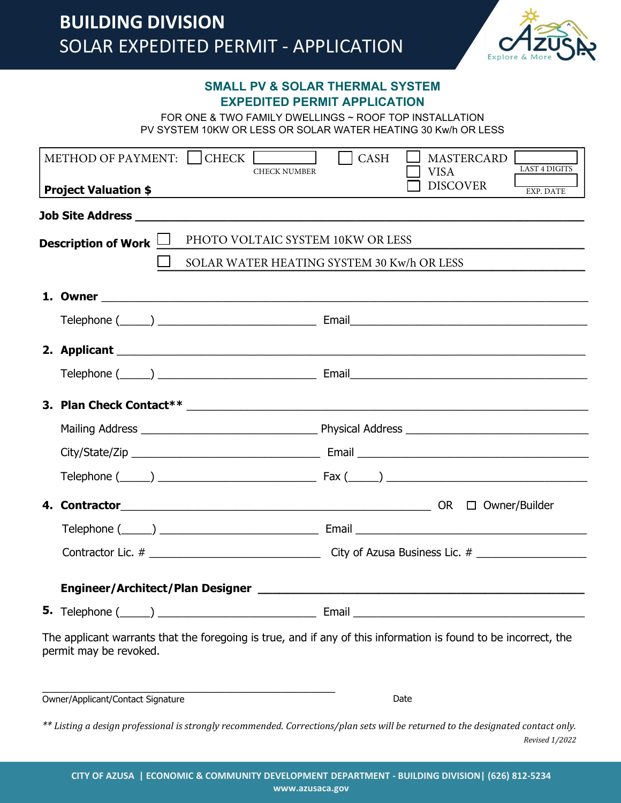

## **SMALL PV & SOLAR THERMAL SYSTEM EXPEDITED PERMIT APPLICATION**

FOR ONE & TWO FAMILY DWELLINGS ~ ROOF TOP INSTALLATION PV SYSTEM 10KW OR LESS OR SOLAR WATER HEATING 30 Kw/h OR LESS

| METHOD OF PAYMENT: CHECK<br><b>CHECK NUMBER</b>                 |                                                                                                                                           |  | <b>CASH</b> | <b>MASTERCARD</b><br><b>LAST 4 DIGITS</b><br><b>VISA</b> |
|-----------------------------------------------------------------|-------------------------------------------------------------------------------------------------------------------------------------------|--|-------------|----------------------------------------------------------|
|                                                                 | <b>Project Valuation \$</b>                                                                                                               |  |             | <b>DISCOVER</b><br><b>EXP. DATE</b>                      |
|                                                                 |                                                                                                                                           |  |             |                                                          |
| PHOTO VOLTAIC SYSTEM 10KW OR LESS<br>Description of Work $\Box$ |                                                                                                                                           |  |             |                                                          |
|                                                                 | SOLAR WATER HEATING SYSTEM 30 Kw/h OR LESS                                                                                                |  |             |                                                          |
|                                                                 |                                                                                                                                           |  |             |                                                          |
|                                                                 |                                                                                                                                           |  |             |                                                          |
|                                                                 |                                                                                                                                           |  |             |                                                          |
|                                                                 |                                                                                                                                           |  |             |                                                          |
|                                                                 |                                                                                                                                           |  |             |                                                          |
|                                                                 |                                                                                                                                           |  |             |                                                          |
|                                                                 |                                                                                                                                           |  |             |                                                          |
|                                                                 |                                                                                                                                           |  |             |                                                          |
|                                                                 |                                                                                                                                           |  |             |                                                          |
|                                                                 |                                                                                                                                           |  |             |                                                          |
|                                                                 |                                                                                                                                           |  |             |                                                          |
|                                                                 |                                                                                                                                           |  |             |                                                          |
|                                                                 |                                                                                                                                           |  |             |                                                          |
|                                                                 | The applicant warrants that the foregoing is true, and if any of this information is found to be incorrect, the<br>permit may be revoked. |  |             |                                                          |
| Owner/Applicant/Contact Signature                               |                                                                                                                                           |  |             | Date                                                     |
|                                                                 | ** Listing a design professional is strongly recommended. Corrections/plan sets will be returned to the designated contact only.          |  |             | Revised 1/2022                                           |